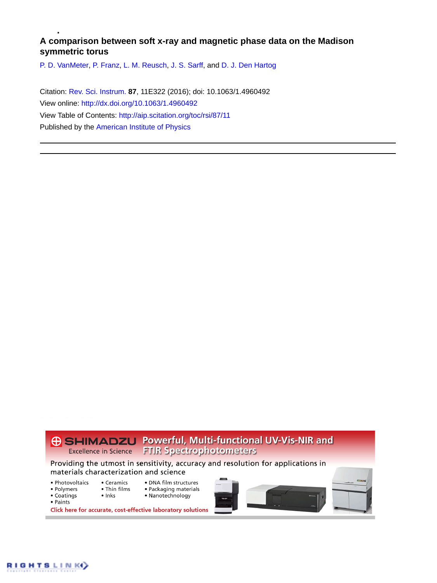# **A comparison between soft x-ray and magnetic phase data on the Madison symmetric torus**

[P. D. VanMeter](http://aip.scitation.org/author/VanMeter%2C+P+D), [P. Franz](http://aip.scitation.org/author/Franz%2C+P), [L. M. Reusch,](http://aip.scitation.org/author/Reusch%2C+L+M) [J. S. Sarff](http://aip.scitation.org/author/Sarff%2C+J+S), and [D. J. Den Hartog](http://aip.scitation.org/author/den+Hartog%2C+D+J)

Citation: [Rev. Sci. Instrum.](/loi/rsi) **87**, 11E322 (2016); doi: 10.1063/1.4960492 View online: <http://dx.doi.org/10.1063/1.4960492> View Table of Contents: <http://aip.scitation.org/toc/rsi/87/11> Published by the [American Institute of Physics](http://aip.scitation.org/publisher/)



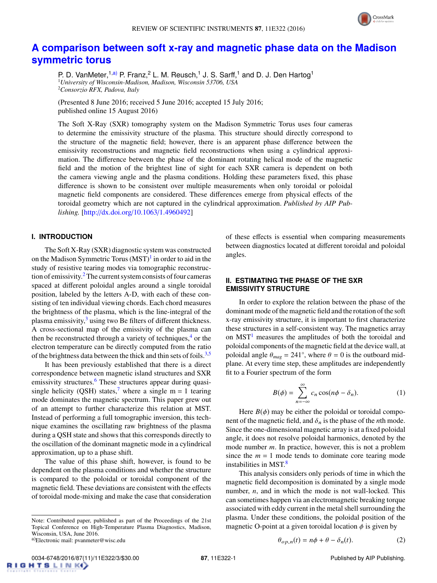

## **[A comparison between soft x-ray and magnetic phase data on the Madison](http://dx.doi.org/10.1063/1.4960492) [symmetric torus](http://dx.doi.org/10.1063/1.4960492)**

P. D. VanMeter,<sup>1[,a\)](#page-1-0)</sup> P. Franz,<sup>2</sup> L. M. Reusch,<sup>1</sup> J. S. Sarff,<sup>1</sup> and D. J. Den Hartog<sup>1</sup> <sup>1</sup>*University of Wisconsin-Madison, Madison, Wisconsin 53706, USA* <sup>2</sup>*Consorzio RFX, Padova, Italy*

(Presented 8 June 2016; received 5 June 2016; accepted 15 July 2016; published online 15 August 2016)

The Soft X-Ray (SXR) tomography system on the Madison Symmetric Torus uses four cameras to determine the emissivity structure of the plasma. This structure should directly correspond to the structure of the magnetic field; however, there is an apparent phase difference between the emissivity reconstructions and magnetic field reconstructions when using a cylindrical approximation. The difference between the phase of the dominant rotating helical mode of the magnetic field and the motion of the brightest line of sight for each SXR camera is dependent on both the camera viewing angle and the plasma conditions. Holding these parameters fixed, this phase difference is shown to be consistent over multiple measurements when only toroidal or poloidal magnetic field components are considered. These differences emerge from physical effects of the toroidal geometry which are not captured in the cylindrical approximation. *Published by AIP Publishing.* [\[http:](http://dx.doi.org/10.1063/1.4960492)//[dx.doi.org](http://dx.doi.org/10.1063/1.4960492)/[10.1063](http://dx.doi.org/10.1063/1.4960492)/[1.4960492\]](http://dx.doi.org/10.1063/1.4960492)

### **I. INTRODUCTION**

The Soft X-Ray (SXR) diagnostic system was constructed on the Madison Symmetric Torus  $(MST)^1$  $(MST)^1$  in order to aid in the study of resistive tearing modes via tomographic reconstruc-tion of emissivity.<sup>[2](#page-3-1)</sup> The current system consists of four cameras spaced at different poloidal angles around a single toroidal position, labeled by the letters A-D, with each of these consisting of ten individual viewing chords. Each chord measures the brightness of the plasma, which is the line-integral of the plasma emissivity, $3$  using two Be filters of different thickness. A cross-sectional map of the emissivity of the plasma can then be reconstructed through a variety of techniques, $4$  or the electron temperature can be directly computed from the ratio of the brightness data between the thick and thin sets of foils.<sup>[3,](#page-3-2)[5](#page-3-4)</sup>

It has been previously established that there is a direct correspondence between magnetic island structures and SXR emissivity structures.<sup>[6](#page-3-5)</sup> These structures appear during quasi-single helicity (QSH) states,<sup>[7](#page-3-6)</sup> where a single m = 1 tearing mode dominates the magnetic spectrum. This paper grew out of an attempt to further characterize this relation at MST. Instead of performing a full tomographic inversion, this technique examines the oscillating raw brightness of the plasma during a QSH state and shows that this corresponds directly to the oscillation of the dominant magnetic mode in a cylindrical approximation, up to a phase shift.

The value of this phase shift, however, is found to be dependent on the plasma conditions and whether the structure is compared to the poloidal or toroidal component of the magnetic field. These deviations are consistent with the effects of toroidal mode-mixing and make the case that consideration

of these effects is essential when comparing measurements between diagnostics located at different toroidal and poloidal angles.

## <span id="page-1-2"></span>**II. ESTIMATING THE PHASE OF THE SXR EMISSIVITY STRUCTURE**

In order to explore the relation between the phase of the dominant mode of the magnetic field and the rotation of the soft x-ray emissivity structure, it is important to first characterize these structures in a self-consistent way. The magnetics array on  $MST<sup>1</sup>$  $MST<sup>1</sup>$  $MST<sup>1</sup>$  measures the amplitudes of both the toroidal and poloidal components of the magnetic field at the device wall, at poloidal angle  $\theta_{mag} = 241^\circ$ , where  $\theta = 0$  is the outboard mid-<br>plane. At every time step, these amplitudes are independently plane. At every time step, these amplitudes are independently fit to a Fourier spectrum of the form

$$
B(\phi) = \sum_{n = -\infty}^{\infty} c_n \cos(n\phi - \delta_n).
$$
 (1)

Here  $B(\phi)$  may be either the poloidal or toroidal component of the magnetic field, and  $\delta_n$  is the phase of the *n*th mode. Since the one-dimensional magnetic array is at a fixed poloidal angle, it does not resolve poloidal harmonics, denoted by the mode number *m*. In practice, however, this is not a problem since the  $m = 1$  mode tends to dominate core tearing mode instabilities in MST.<sup>[8](#page-3-7)</sup>

This analysis considers only periods of time in which the magnetic field decomposition is dominated by a single mode number, *n*, and in which the mode is not wall-locked. This can sometimes happen via an electromagnetic breaking torque associated with eddy current in the metal shell surrounding the plasma. Under these conditions, the poloidal position of the magnetic O-point at a given toroidal location  $\phi$  is given by

<span id="page-1-1"></span>
$$
\theta_{op,n}(t) = n\phi + \theta - \delta_n(t). \tag{2}
$$

Note: Contributed paper, published as part of the Proceedings of the 21st Topical Conference on High-Temperature Plasma Diagnostics, Madison, Wisconsin, USA, June 2016.

<span id="page-1-0"></span>a)Electronic mail: pvanmeter@wisc.edu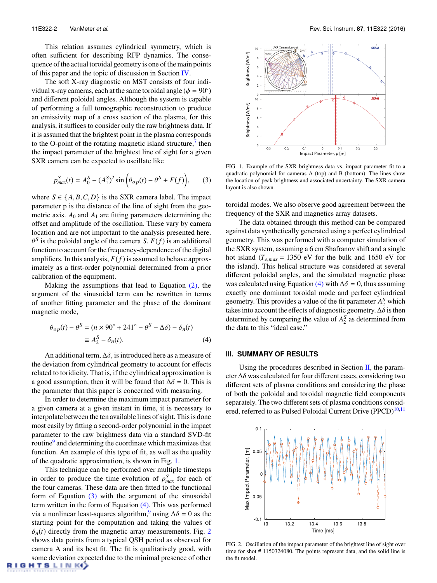This relation assumes cylindrical symmetry, which is often sufficient for describing RFP dynamics. The consequence of the actual toroidal geometry is one of the main points of this paper and the topic of discussion in Section [IV.](#page-3-8)

The soft X-ray diagnostic on MST consists of four individual x-ray cameras, each at the same toroidal angle  $(\phi = 90^{\circ})$ <br>and different poloidal angles. Although the system is canable and different poloidal angles. Although the system is capable of performing a full tomographic reconstruction to produce an emissivity map of a cross section of the plasma, for this analysis, it suffices to consider only the raw brightness data. If it is assumed that the brightest point in the plasma corresponds to the O-point of the rotating magnetic island structure, $\frac{7}{1}$  $\frac{7}{1}$  $\frac{7}{1}$  then the impact parameter of the brightest line of sight for a given SXR camera can be expected to oscillate like

$$
p_{max}^S(t) = A_0^S - (A_1^S)^2 \sin \left(\theta_{op}(t) - \theta^S + F(f)\right), \tag{3}
$$

where  $S \in \{A, B, C, D\}$  is the SXR camera label. The impact parameter p is the distance of the line of sight from the geometric axis.  $A_0$  and  $A_1$  are fitting parameters determining the offset and amplitude of the oscillation. These vary by camera location and are not important to the analysis presented here. function to account for the frequency-dependence of the digital S is the poloidal angle of the camera *S*.  $F(f)$  is an additional amplifiers. In this analysis,  $F(f)$  is assumed to behave approximately as a first-order polynomial determined from a prior calibration of the equipment.

Making the assumptions that lead to Equation  $(2)$ , the argument of the sinusoidal term can be rewritten in terms of another fitting parameter and the phase of the dominant magnetic mode,

$$
\theta_{op}(t) - \theta^S = (n \times 90^\circ + 241^\circ - \theta^S - \Delta\delta) - \delta_n(t)
$$
  

$$
\equiv A_2^S - \delta_n(t).
$$
 (4)

An additional term,  $\Delta \delta$ , is introduced here as a measure of the deviation from cylindrical geometry to account for effects related to toridicity. That is, if the cylindrical approximation is a good assumption, then it will be found that  $\Delta \delta = 0$ . This is the parameter that this paper is concerned with measuring.

In order to determine the maximum impact parameter for a given camera at a given instant in time, it is necessary to interpolate between the ten available lines of sight. This is done most easily by fitting a second-order polynomial in the impact parameter to the raw brightness data via a standard SVD-fit routine<sup>[9](#page-3-9)</sup> and determining the coordinate which maximizes that function. An example of this type of fit, as well as the quality of the quadratic approximation, is shown in Fig. [1.](#page-2-0)

This technique can be performed over multiple timesteps in order to produce the time evolution of  $p_{max}^S$  for each of the four cameras. These data are then fitted to the functional form of Equation [\(3\)](#page-2-1) with the argument of the sinusoidal term written in the form of Equation [\(4\).](#page-2-2) This was performed via a nonlinear least-squares algorithm,<sup>[9](#page-3-9)</sup> using  $\Delta\delta = 0$  as the starting point for the computation and taking the values of  $\delta_n(t)$  directly from the magnetic array measurements. Fig. [2](#page-2-3) shows data points from a typical QSH period as observed for camera A and its best fit. The fit is qualitatively good, with some deviation expected due to the minimal presence of other

<span id="page-2-0"></span>

<span id="page-2-1"></span>FIG. 1. Example of the SXR brightness data vs. impact parameter fit to a quadratic polynomial for cameras A (top) and B (bottom). The lines show the location of peak brightness and associated uncertainty. The SXR camera layout is also shown.

toroidal modes. We also observe good agreement between the frequency of the SXR and magnetics array datasets.

The data obtained through this method can be compared against data synthetically generated using a perfect cylindrical geometry. This was performed with a computer simulation of the SXR system, assuming a 6 cm Shafranov shift and a single hot island ( $T_{e,max} = 1350$  eV for the bulk and 1650 eV for the island). This helical structure was considered at several different poloidal angles, and the simulated magnetic phase was calculated using Equation [\(4\)](#page-2-2) with  $\Delta \delta = 0$ , thus assuming exactly one dominant toroidal mode and perfect cylindrical geometry. This provides a value of the fit parameter  $A_2^S$  which takes into account the effects of diagnostic geometry.  $\Delta \delta$  is then determined by comparing the value of  $A_2^S$  as determined from the data to this "ideal case."

### <span id="page-2-2"></span>**III. SUMMARY OF RESULTS**

Using the procedures described in Section  $II$ , the parameter <sup>∆</sup>δ was calculated for four different cases, considering two different sets of plasma conditions and considering the phase of both the poloidal and toroidal magnetic field components separately. The two different sets of plasma conditions consid-ered, referred to as Pulsed Poloidal Current Drive (PPCD)<sup>[10](#page-3-10)[,11](#page-3-11)</sup>

<span id="page-2-3"></span>

FIG. 2. Oscillation of the impact parameter of the brightest line of sight over time for shot # 1150324080. The points represent data, and the solid line is the fit model.